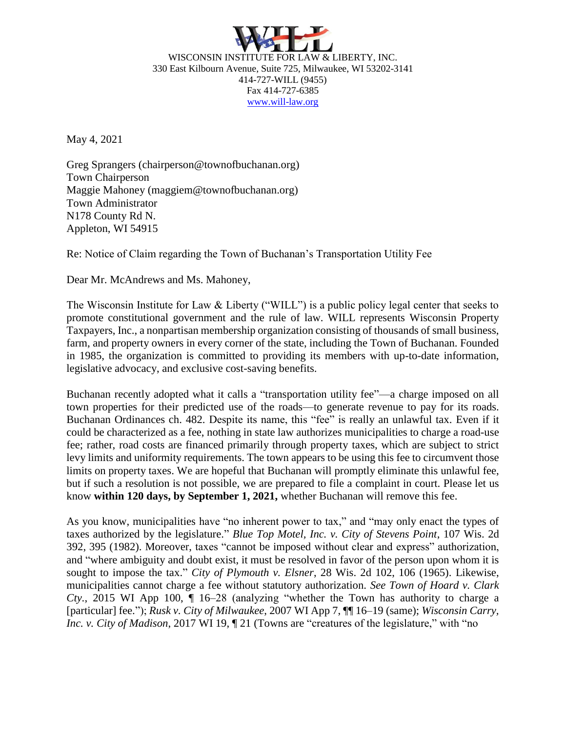

WISCONSIN INSTITUTE FOR LAW & LIBERTY, INC. 330 East Kilbourn Avenue, Suite 725, Milwaukee, WI 53202-3141 414-727-WILL (9455) Fax 414-727-6385 [www.will-law.org](http://www.will-law.org/)

May 4, 2021

Greg Sprangers (chairperson@townofbuchanan.org) Town Chairperson Maggie Mahoney (maggiem@townofbuchanan.org) Town Administrator N178 County Rd N. Appleton, WI 54915

Re: Notice of Claim regarding the Town of Buchanan's Transportation Utility Fee

Dear Mr. McAndrews and Ms. Mahoney,

The Wisconsin Institute for Law & Liberty ("WILL") is a public policy legal center that seeks to promote constitutional government and the rule of law. WILL represents Wisconsin Property Taxpayers, Inc., a nonpartisan membership organization consisting of thousands of small business, farm, and property owners in every corner of the state, including the Town of Buchanan. Founded in 1985, the organization is committed to providing its members with up-to-date information, legislative advocacy, and exclusive cost-saving benefits.

Buchanan recently adopted what it calls a "transportation utility fee"—a charge imposed on all town properties for their predicted use of the roads—to generate revenue to pay for its roads. Buchanan Ordinances ch. 482. Despite its name, this "fee" is really an unlawful tax. Even if it could be characterized as a fee, nothing in state law authorizes municipalities to charge a road-use fee; rather, road costs are financed primarily through property taxes, which are subject to strict levy limits and uniformity requirements. The town appears to be using this fee to circumvent those limits on property taxes. We are hopeful that Buchanan will promptly eliminate this unlawful fee, but if such a resolution is not possible, we are prepared to file a complaint in court. Please let us know **within 120 days, by September 1, 2021,** whether Buchanan will remove this fee.

As you know, municipalities have "no inherent power to tax," and "may only enact the types of taxes authorized by the legislature." *Blue Top Motel, Inc. v. City of Stevens Point*, 107 Wis. 2d 392, 395 (1982). Moreover, taxes "cannot be imposed without clear and express" authorization, and "where ambiguity and doubt exist, it must be resolved in favor of the person upon whom it is sought to impose the tax." *City of Plymouth v. Elsner*, 28 Wis. 2d 102, 106 (1965). Likewise, municipalities cannot charge a fee without statutory authorization. *See Town of Hoard v. Clark Cty.*, 2015 WI App 100, ¶ 16–28 (analyzing "whether the Town has authority to charge a [particular] fee."); *Rusk v. City of Milwaukee*, 2007 WI App 7, ¶¶ 16–19 (same); *Wisconsin Carry, Inc. v. City of Madison*, 2017 WI 19, 121 (Towns are "creatures of the legislature," with "no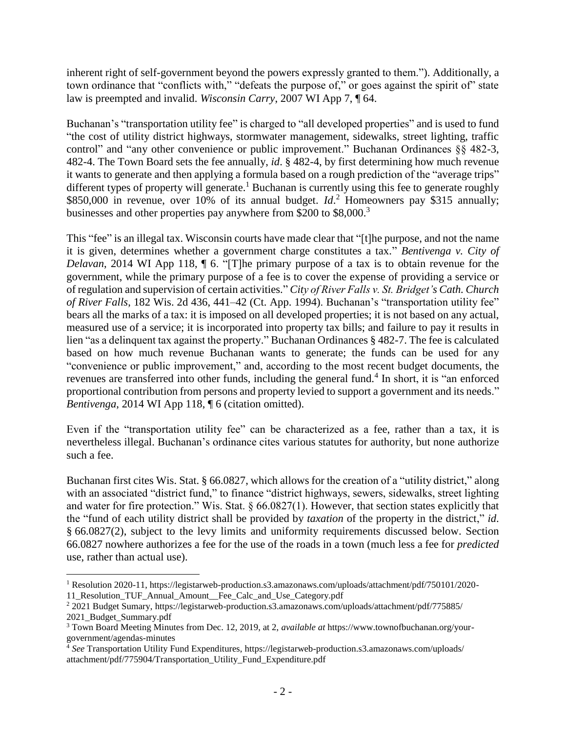inherent right of self-government beyond the powers expressly granted to them."). Additionally, a town ordinance that "conflicts with," "defeats the purpose of," or goes against the spirit of" state law is preempted and invalid. *Wisconsin Carry*, 2007 WI App 7, ¶ 64.

Buchanan's "transportation utility fee" is charged to "all developed properties" and is used to fund "the cost of utility district highways, stormwater management, sidewalks, street lighting, traffic control" and "any other convenience or public improvement." Buchanan Ordinances §§ 482-3, 482-4. The Town Board sets the fee annually, *id*. § 482-4, by first determining how much revenue it wants to generate and then applying a formula based on a rough prediction of the "average trips" different types of property will generate.<sup>1</sup> Buchanan is currently using this fee to generate roughly \$850,000 in revenue, over 10% of its annual budget. *Id*.<sup>2</sup> Homeowners pay \$315 annually; businesses and other properties pay anywhere from \$200 to \$8,000.<sup>3</sup>

This "fee" is an illegal tax. Wisconsin courts have made clear that "[t]he purpose, and not the name it is given, determines whether a government charge constitutes a tax." *Bentivenga v. City of Delavan*, 2014 WI App 118, ¶ 6. "[T]he primary purpose of a tax is to obtain revenue for the government, while the primary purpose of a fee is to cover the expense of providing a service or of regulation and supervision of certain activities." *City of River Falls v. St. Bridget's Cath. Church of River Falls*, 182 Wis. 2d 436, 441–42 (Ct. App. 1994). Buchanan's "transportation utility fee" bears all the marks of a tax: it is imposed on all developed properties; it is not based on any actual, measured use of a service; it is incorporated into property tax bills; and failure to pay it results in lien "as a delinquent tax against the property." Buchanan Ordinances § 482-7. The fee is calculated based on how much revenue Buchanan wants to generate; the funds can be used for any "convenience or public improvement," and, according to the most recent budget documents, the revenues are transferred into other funds, including the general fund.<sup>4</sup> In short, it is "an enforced proportional contribution from persons and property levied to support a government and its needs." *Bentivenga*, 2014 WI App 118, ¶ 6 (citation omitted).

Even if the "transportation utility fee" can be characterized as a fee, rather than a tax, it is nevertheless illegal. Buchanan's ordinance cites various statutes for authority, but none authorize such a fee.

Buchanan first cites Wis. Stat. § 66.0827, which allows for the creation of a "utility district," along with an associated "district fund," to finance "district highways, sewers, sidewalks, street lighting and water for fire protection." Wis. Stat. § 66.0827(1). However, that section states explicitly that the "fund of each utility district shall be provided by *taxation* of the property in the district," *id*. § 66.0827(2), subject to the levy limits and uniformity requirements discussed below. Section 66.0827 nowhere authorizes a fee for the use of the roads in a town (much less a fee for *predicted*  use, rather than actual use).

 $\overline{a}$ <sup>1</sup> Resolution 2020-11, https://legistarweb-production.s3.amazonaws.com/uploads/attachment/pdf/750101/2020- 11 Resolution TUF Annual Amount Fee Calc and Use Category.pdf

<sup>2</sup> 2021 Budget Sumary, https://legistarweb-production.s3.amazonaws.com/uploads/attachment/pdf/775885/ 2021\_Budget\_Summary.pdf

<sup>3</sup> Town Board Meeting Minutes from Dec. 12, 2019, at 2, *available at* https://www.townofbuchanan.org/yourgovernment/agendas-minutes

<sup>4</sup> *See* Transportation Utility Fund Expenditures, https://legistarweb-production.s3.amazonaws.com/uploads/ attachment/pdf/775904/Transportation\_Utility\_Fund\_Expenditure.pdf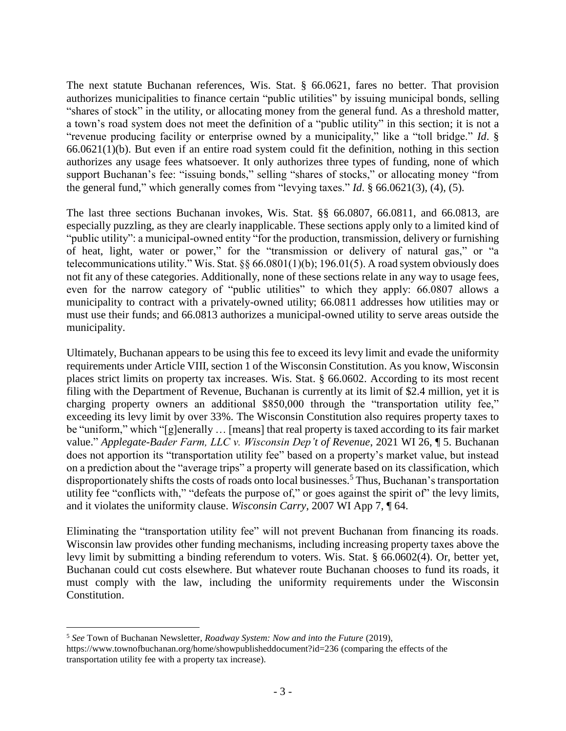The next statute Buchanan references, Wis. Stat. § 66.0621, fares no better. That provision authorizes municipalities to finance certain "public utilities" by issuing municipal bonds, selling "shares of stock" in the utility, or allocating money from the general fund. As a threshold matter, a town's road system does not meet the definition of a "public utility" in this section; it is not a "revenue producing facility or enterprise owned by a municipality," like a "toll bridge." *Id*. § 66.0621(1)(b). But even if an entire road system could fit the definition, nothing in this section authorizes any usage fees whatsoever. It only authorizes three types of funding, none of which support Buchanan's fee: "issuing bonds," selling "shares of stocks," or allocating money "from the general fund," which generally comes from "levying taxes." *Id*. § 66.0621(3), (4), (5).

The last three sections Buchanan invokes, Wis. Stat. §§ 66.0807, 66.0811, and 66.0813, are especially puzzling, as they are clearly inapplicable. These sections apply only to a limited kind of "public utility": a municipal-owned entity "for the production, transmission, delivery or furnishing of heat, light, water or power," for the "transmission or delivery of natural gas," or "a telecommunications utility." Wis. Stat. §§ 66.0801(1)(b); 196.01(5). A road system obviously does not fit any of these categories. Additionally, none of these sections relate in any way to usage fees, even for the narrow category of "public utilities" to which they apply: 66.0807 allows a municipality to contract with a privately-owned utility; 66.0811 addresses how utilities may or must use their funds; and 66.0813 authorizes a municipal-owned utility to serve areas outside the municipality.

Ultimately, Buchanan appears to be using this fee to exceed its levy limit and evade the uniformity requirements under Article VIII, section 1 of the Wisconsin Constitution. As you know, Wisconsin places strict limits on property tax increases. Wis. Stat. § 66.0602. According to its most recent filing with the Department of Revenue, Buchanan is currently at its limit of \$2.4 million, yet it is charging property owners an additional \$850,000 through the "transportation utility fee," exceeding its levy limit by over 33%. The Wisconsin Constitution also requires property taxes to be "uniform," which "[g]enerally … [means] that real property is taxed according to its fair market value." *Applegate-Bader Farm, LLC v. Wisconsin Dep't of Revenue*, 2021 WI 26, ¶ 5. Buchanan does not apportion its "transportation utility fee" based on a property's market value, but instead on a prediction about the "average trips" a property will generate based on its classification, which disproportionately shifts the costs of roads onto local businesses.<sup>5</sup> Thus, Buchanan's transportation utility fee "conflicts with," "defeats the purpose of," or goes against the spirit of" the levy limits, and it violates the uniformity clause. *Wisconsin Carry*, 2007 WI App 7, ¶ 64.

Eliminating the "transportation utility fee" will not prevent Buchanan from financing its roads. Wisconsin law provides other funding mechanisms, including increasing property taxes above the levy limit by submitting a binding referendum to voters. Wis. Stat. § 66.0602(4). Or, better yet, Buchanan could cut costs elsewhere. But whatever route Buchanan chooses to fund its roads, it must comply with the law, including the uniformity requirements under the Wisconsin Constitution.

 $\overline{a}$ 

<sup>5</sup> *See* Town of Buchanan Newsletter, *Roadway System: Now and into the Future* (2019), https://www.townofbuchanan.org/home/showpublisheddocument?id=236 (comparing the effects of the transportation utility fee with a property tax increase).